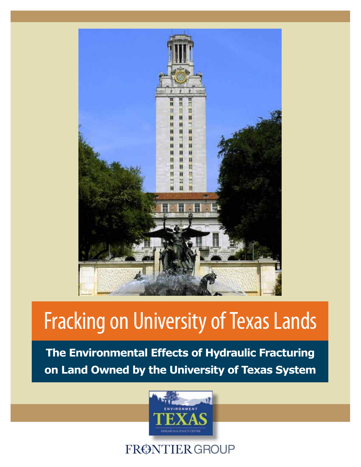

# Fracking on University of Texas Lands

**The Environmental Effects of Hydraulic Fracturing on Land Owned by the University of Texas System**



FRØNTIER GROUP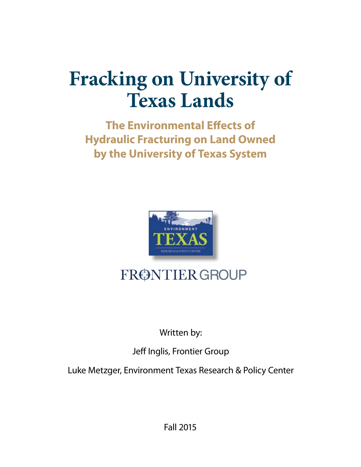## **Fracking on University of Texas Lands**

**The Environmental Effects of Hydraulic Fracturing on Land Owned by the University of Texas System**



## FRØNTIER GROUP

## Written by:

## Jeff Inglis, Frontier Group

Luke Metzger, Environment Texas Research & Policy Center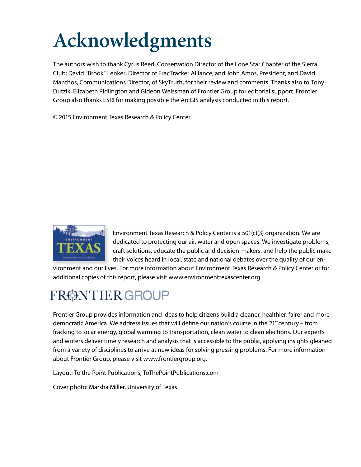# **Acknowledgments**

The authors wish to thank Cyrus Reed, Conservation Director of the Lone Star Chapter of the Sierra Club; David "Brook" Lenker, Director of FracTracker Alliance; and John Amos, President, and David Manthos, Communications Director, of SkyTruth, for their review and comments. Thanks also to Tony Dutzik, Elizabeth Ridlington and Gideon Weissman of Frontier Group for editorial support. Frontier Group also thanks ESRI for making possible the ArcGIS analysis conducted in this report.

© 2015 Environment Texas Research & Policy Center



Environment Texas Research & Policy Center is a 501(c)(3) organization. We are dedicated to protecting our air, water and open spaces. We investigate problems, craft solutions, educate the public and decision-makers, and help the public make their voices heard in local, state and national debates over the quality of our en-

vironment and our lives. For more information about Environment Texas Research & Policy Center or for additional copies of this report, please visit www.environmenttexascenter.org.

## FRØNTIER GROUP

Frontier Group provides information and ideas to help citizens build a cleaner, healthier, fairer and more democratic America. We address issues that will define our nation's course in the 21<sup>st</sup> century – from fracking to solar energy, global warming to transportation, clean water to clean elections. Our experts and writers deliver timely research and analysis that is accessible to the public, applying insights gleaned from a variety of disciplines to arrive at new ideas for solving pressing problems. For more information about Frontier Group, please visit www.frontiergroup.org.

Layout: To the Point Publications, ToThePointPublications.com

Cover photo: Marsha Miller, University of Texas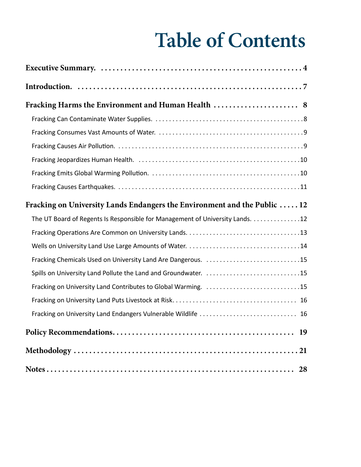## **Table of Contents**

| Fracking on University Lands Endangers the Environment and the Public  12     |
|-------------------------------------------------------------------------------|
| The UT Board of Regents Is Responsible for Management of University Lands. 12 |
|                                                                               |
|                                                                               |
| Fracking Chemicals Used on University Land Are Dangerous. 15                  |
| Spills on University Land Pollute the Land and Groundwater. 15                |
| Fracking on University Land Contributes to Global Warming. 15                 |
|                                                                               |
| Fracking on University Land Endangers Vulnerable Wildlife  16                 |
|                                                                               |
|                                                                               |
|                                                                               |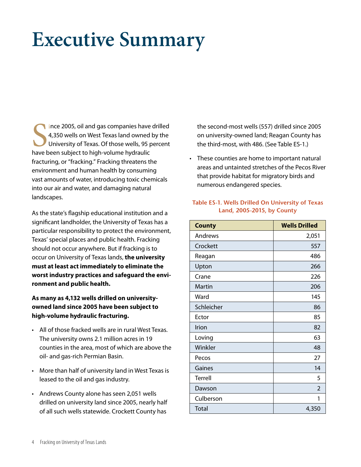## **Executive Summary**

Since 2005, oil and gas companies have<br>4,350 wells on West Texas land owned<br>University of Texas. Of those wells, 95 p<br>have been subject to high-volume hydraulic ince 2005, oil and gas companies have drilled 4,350 wells on West Texas land owned by the University of Texas. Of those wells, 95 percent fracturing, or "fracking." Fracking threatens the environment and human health by consuming vast amounts of water, introducing toxic chemicals into our air and water, and damaging natural landscapes.

As the state's flagship educational institution and a significant landholder, the University of Texas has a particular responsibility to protect the environment, Texas' special places and public health. Fracking should not occur anywhere. But if fracking is to occur on University of Texas lands, **the university must at least act immediately to eliminate the worst industry practices and safeguard the environment and public health.**

#### **As many as 4,132 wells drilled on universityowned land since 2005 have been subject to high-volume hydraulic fracturing.**

- All of those fracked wells are in rural West Texas. The university owns 2.1 million acres in 19 counties in the area, most of which are above the oil- and gas-rich Permian Basin.
- More than half of university land in West Texas is leased to the oil and gas industry.
- Andrews County alone has seen 2,051 wells drilled on university land since 2005, nearly half of all such wells statewide. Crockett County has

the second-most wells (557) drilled since 2005 on university-owned land; Reagan County has the third-most, with 486. (See Table ES-1.)

• These counties are home to important natural areas and untainted stretches of the Pecos River that provide habitat for migratory birds and numerous endangered species.

#### **Table ES-1. Wells Drilled On University of Texas Land, 2005-2015, by County**

| <b>County</b> | <b>Wells Drilled</b> |
|---------------|----------------------|
| Andrews       | 2,051                |
| Crockett      | 557                  |
| Reagan        | 486                  |
| Upton         | 266                  |
| Crane         | 226                  |
| Martin        | 206                  |
| Ward          | 145                  |
| Schleicher    | 86                   |
| Ector         | 85                   |
| Irion         | 82                   |
| Loving        | 63                   |
| Winkler       | 48                   |
| Pecos         | 27                   |
| Gaines        | 14                   |
| Terrell       | 5                    |
| Dawson        | $\overline{2}$       |
| Culberson     | 1                    |
| <b>Total</b>  | 4,350                |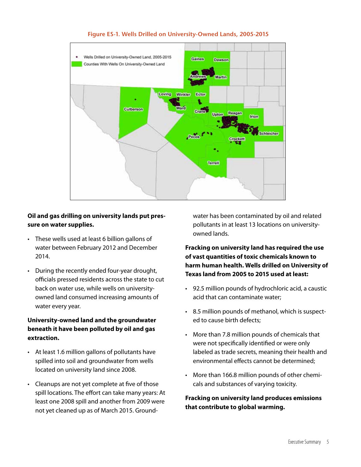

#### **Figure ES-1. Wells Drilled on University-Owned Lands, 2005-2015**

#### **Oil and gas drilling on university lands put pressure on water supplies.**

- These wells used at least 6 billion gallons of water between February 2012 and December 2014.
- During the recently ended four-year drought, officials pressed residents across the state to cut back on water use, while wells on universityowned land consumed increasing amounts of water every year.

#### **University-owned land and the groundwater beneath it have been polluted by oil and gas extraction.**

- • At least 1.6 million gallons of pollutants have spilled into soil and groundwater from wells located on university land since 2008.
- Cleanups are not yet complete at five of those spill locations. The effort can take many years: At least one 2008 spill and another from 2009 were not yet cleaned up as of March 2015. Ground-

water has been contaminated by oil and related pollutants in at least 13 locations on universityowned lands.

#### **Fracking on university land has required the use of vast quantities of toxic chemicals known to harm human health. Wells drilled on University of Texas land from 2005 to 2015 used at least:**

- • 92.5 million pounds of hydrochloric acid, a caustic acid that can contaminate water;
- • 8.5 million pounds of methanol, which is suspected to cause birth defects;
- • More than 7.8 million pounds of chemicals that were not specifically identified or were only labeled as trade secrets, meaning their health and environmental effects cannot be determined;
- More than 166.8 million pounds of other chemicals and substances of varying toxicity.

#### **Fracking on university land produces emissions that contribute to global warming.**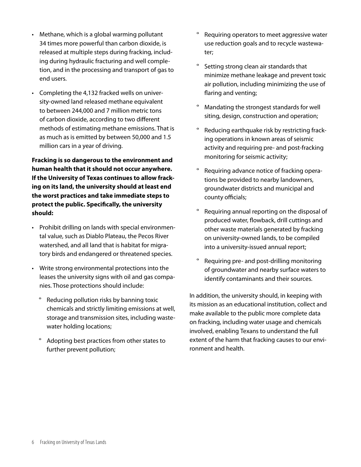- Methane, which is a global warming pollutant 34 times more powerful than carbon dioxide, is released at multiple steps during fracking, including during hydraulic fracturing and well completion, and in the processing and transport of gas to end users.
- • Completing the 4,132 fracked wells on university-owned land released methane equivalent to between 244,000 and 7 million metric tons of carbon dioxide, according to two different methods of estimating methane emissions. That is as much as is emitted by between 50,000 and 1.5 million cars in a year of driving.

**Fracking is so dangerous to the environment and human health that it should not occur anywhere. If the University of Texas continues to allow fracking on its land, the university should at least end the worst practices and take immediate steps to protect the public. Specifically, the university should:** 

- • Prohibit drilling on lands with special environmental value, such as Diablo Plateau, the Pecos River watershed, and all land that is habitat for migratory birds and endangered or threatened species.
- • Write strong environmental protections into the leases the university signs with oil and gas companies. Those protections should include:
	- Reducing pollution risks by banning toxic chemicals and strictly limiting emissions at well, storage and transmission sites, including wastewater holding locations;
	- Adopting best practices from other states to further prevent pollution;
- º Requiring operators to meet aggressive water use reduction goals and to recycle wastewater;
- Setting strong clean air standards that minimize methane leakage and prevent toxic air pollution, including minimizing the use of flaring and venting;
- Mandating the strongest standards for well siting, design, construction and operation;
- º Reducing earthquake risk by restricting fracking operations in known areas of seismic activity and requiring pre- and post-fracking monitoring for seismic activity;
- Requiring advance notice of fracking operations be provided to nearby landowners, groundwater districts and municipal and county officials;
- Requiring annual reporting on the disposal of produced water, flowback, drill cuttings and other waste materials generated by fracking on university-owned lands, to be compiled into a university-issued annual report;
- Requiring pre- and post-drilling monitoring of groundwater and nearby surface waters to identify contaminants and their sources.

In addition, the university should, in keeping with its mission as an educational institution, collect and make available to the public more complete data on fracking, including water usage and chemicals involved, enabling Texans to understand the full extent of the harm that fracking causes to our environment and health.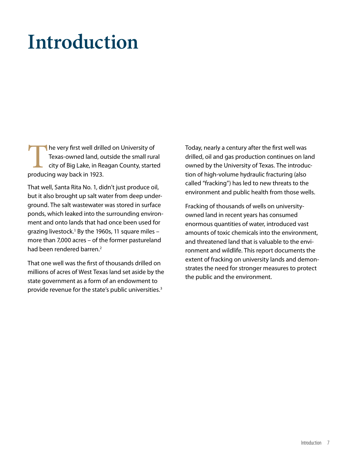## **Introduction**

The very first well drilled on University of<br>Texas-owned land, outside the small runcity of Big Lake, in Reagan County, starte<br>producing way back in 1923. Texas-owned land, outside the small rural city of Big Lake, in Reagan County, started producing way back in 1923.

That well, Santa Rita No. 1, didn't just produce oil, but it also brought up salt water from deep underground. The salt wastewater was stored in surface ponds, which leaked into the surrounding environment and onto lands that had once been used for grazing livestock. $1$  By the 1960s, 11 square miles  $$ more than 7,000 acres – of the former pastureland had been rendered barren.<sup>2</sup>

That one well was the first of thousands drilled on millions of acres of West Texas land set aside by the state government as a form of an endowment to provide revenue for the state's public universities.<sup>3</sup>

Today, nearly a century after the first well was drilled, oil and gas production continues on land owned by the University of Texas. The introduction of high-volume hydraulic fracturing (also called "fracking") has led to new threats to the environment and public health from those wells.

Fracking of thousands of wells on universityowned land in recent years has consumed enormous quantities of water, introduced vast amounts of toxic chemicals into the environment, and threatened land that is valuable to the environment and wildlife. This report documents the extent of fracking on university lands and demonstrates the need for stronger measures to protect the public and the environment.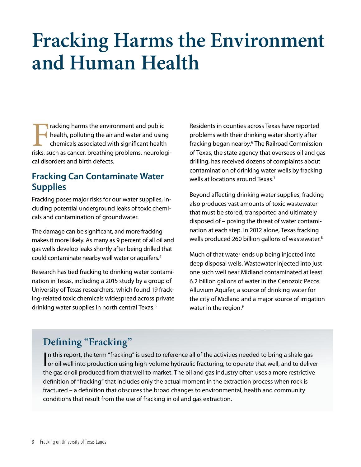## **Fracking Harms the Environment and Human Health**

**Tracking harms the environment and public** health, polluting the air and water and using chemicals associated with significant health risks, such as cancer, breathing problems, neurological disorders and birth defects.

#### **Fracking Can Contaminate Water Supplies**

Fracking poses major risks for our water supplies, including potential underground leaks of toxic chemicals and contamination of groundwater.

The damage can be significant, and more fracking makes it more likely. As many as 9 percent of all oil and gas wells develop leaks shortly after being drilled that could contaminate nearby well water or aquifers.<sup>4</sup>

Research has tied fracking to drinking water contamination in Texas, including a 2015 study by a group of University of Texas researchers, which found 19 fracking-related toxic chemicals widespread across private drinking water supplies in north central Texas.<sup>5</sup>

Residents in counties across Texas have reported problems with their drinking water shortly after fracking began nearby.<sup>6</sup> The Railroad Commission of Texas, the state agency that oversees oil and gas drilling, has received dozens of complaints about contamination of drinking water wells by fracking wells at locations around Texas.<sup>7</sup>

Beyond affecting drinking water supplies, fracking also produces vast amounts of toxic wastewater that must be stored, transported and ultimately disposed of – posing the threat of water contamination at each step. In 2012 alone, Texas fracking wells produced 260 billion gallons of wastewater.<sup>8</sup>

Much of that water ends up being injected into deep disposal wells. Wastewater injected into just one such well near Midland contaminated at least 6.2 billion gallons of water in the Cenozoic Pecos Alluvium Aquifer, a source of drinking water for the city of Midland and a major source of irrigation water in the region.<sup>9</sup>

## **Defining "Fracking"**

In this report, the term "fracking" is used to reference all of the activities needed to bring a shale gas<br>In this report, the term "fracking" is used to reference all of the activities needed to bring a shale gas<br>In this In this report, the term "fracking" is used to reference all of the activities needed to bring a shale gas the gas or oil produced from that well to market. The oil and gas industry often uses a more restrictive definition of "fracking" that includes only the actual moment in the extraction process when rock is fractured – a definition that obscures the broad changes to environmental, health and community conditions that result from the use of fracking in oil and gas extraction.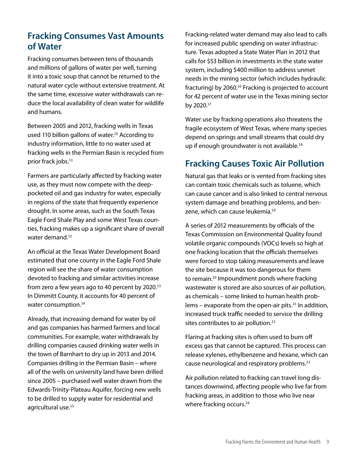### **Fracking Consumes Vast Amounts of Water**

Fracking consumes between tens of thousands and millions of gallons of water per well, turning it into a toxic soup that cannot be returned to the natural water cycle without extensive treatment. At the same time, excessive water withdrawals can reduce the local availability of clean water for wildlife and humans.

Between 2005 and 2012, fracking wells in Texas used 110 billion gallons of water.<sup>10</sup> According to industry information, little to no water used at fracking wells in the Permian Basin is recycled from prior frack jobs.<sup>11</sup>

Farmers are particularly affected by fracking water use, as they must now compete with the deeppocketed oil and gas industry for water, especially in regions of the state that frequently experience drought. In some areas, such as the South Texas Eagle Ford Shale Play and some West Texas counties, fracking makes up a significant share of overall water demand.<sup>12</sup>

An official at the Texas Water Development Board estimated that one county in the Eagle Ford Shale region will see the share of water consumption devoted to fracking and similar activities increase from zero a few years ago to 40 percent by 2020.<sup>13</sup> In Dimmitt County, it accounts for 40 percent of water consumption.<sup>14</sup>

Already, that increasing demand for water by oil and gas companies has harmed farmers and local communities. For example, water withdrawals by drilling companies caused drinking water wells in the town of Barnhart to dry up in 2013 and 2014. Companies drilling in the Permian Basin – where all of the wells on university land have been drilled since 2005 – purchased well water drawn from the Edwards-Trinity-Plateau Aquifer, forcing new wells to be drilled to supply water for residential and agricultural use.<sup>15</sup>

Fracking-related water demand may also lead to calls for increased public spending on water infrastructure. Texas adopted a State Water Plan in 2012 that calls for \$53 billion in investments in the state water system, including \$400 million to address unmet needs in the mining sector (which includes hydraulic fracturing) by 2060.<sup>16</sup> Fracking is projected to account for 42 percent of water use in the Texas mining sector by 2020.<sup>17</sup>

Water use by fracking operations also threatens the fragile ecosystem of West Texas, where many species depend on springs and small streams that could dry up if enough groundwater is not available.<sup>18</sup>

### **Fracking Causes Toxic Air Pollution**

Natural gas that leaks or is vented from fracking sites can contain toxic chemicals such as toluene, which can cause cancer and is also linked to central nervous system damage and breathing problems, and benzene, which can cause leukemia.<sup>19</sup>

A series of 2012 measurements by officials of the Texas Commission on Environmental Quality found volatile organic compounds (VOCs) levels so high at one fracking location that the officials themselves were forced to stop taking measurements and leave the site because it was too dangerous for them to remain.<sup>20</sup> Impoundment ponds where fracking wastewater is stored are also sources of air pollution, as chemicals – some linked to human health problems – evaporate from the open-air pits. $21$  In addition, increased truck traffic needed to service the drilling sites contributes to air pollution.<sup>22</sup>

Flaring at fracking sites is often used to burn off excess gas that cannot be captured. This process can release xylenes, ethylbenzene and hexane, which can cause neurological and respiratory problems.<sup>23</sup>

Air pollution related to fracking can travel long distances downwind, affecting people who live far from fracking areas, in addition to those who live near where fracking occurs.<sup>24</sup>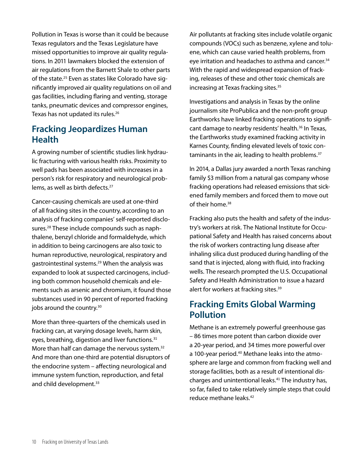Pollution in Texas is worse than it could be because Texas regulators and the Texas Legislature have missed opportunities to improve air quality regulations. In 2011 lawmakers blocked the extension of air regulations from the Barnett Shale to other parts of the state.<sup>25</sup> Even as states like Colorado have significantly improved air quality regulations on oil and gas facilities, including flaring and venting, storage tanks, pneumatic devices and compressor engines, Texas has not updated its rules.<sup>26</sup>

#### **Fracking Jeopardizes Human Health**

A growing number of scientific studies link hydraulic fracturing with various health risks. Proximity to well pads has been associated with increases in a person's risk for respiratory and neurological problems, as well as birth defects.<sup>27</sup>

Cancer-causing chemicals are used at one-third of all fracking sites in the country, according to an analysis of fracking companies' self-reported disclosures.28 These include compounds such as naphthalene, benzyl chloride and formaldehyde, which in addition to being carcinogens are also toxic to human reproductive, neurological, respiratory and gastrointestinal systems.<sup>29</sup> When the analysis was expanded to look at suspected carcinogens, including both common household chemicals and elements such as arsenic and chromium, it found those substances used in 90 percent of reported fracking jobs around the country.<sup>30</sup>

More than three-quarters of the chemicals used in fracking can, at varying dosage levels, harm skin, eyes, breathing, digestion and liver functions.<sup>31</sup> More than half can damage the nervous system.<sup>32</sup> And more than one-third are potential disruptors of the endocrine system – affecting neurological and immune system function, reproduction, and fetal and child development.<sup>33</sup>

Air pollutants at fracking sites include volatile organic compounds (VOCs) such as benzene, xylene and toluene, which can cause varied health problems, from eye irritation and headaches to asthma and cancer.<sup>34</sup> With the rapid and widespread expansion of fracking, releases of these and other toxic chemicals are increasing at Texas fracking sites.<sup>35</sup>

Investigations and analysis in Texas by the online journalism site ProPublica and the non-profit group Earthworks have linked fracking operations to significant damage to nearby residents' health.<sup>36</sup> In Texas, the Earthworks study examined fracking activity in Karnes County, finding elevated levels of toxic contaminants in the air, leading to health problems.<sup>37</sup>

In 2014, a Dallas jury awarded a north Texas ranching family \$3 million from a natural gas company whose fracking operations had released emissions that sickened family members and forced them to move out of their home.<sup>38</sup>

Fracking also puts the health and safety of the industry's workers at risk. The National Institute for Occupational Safety and Health has raised concerns about the risk of workers contracting lung disease after inhaling silica dust produced during handling of the sand that is injected, along with fluid, into fracking wells. The research prompted the U.S. Occupational Safety and Health Administration to issue a hazard alert for workers at fracking sites.<sup>39</sup>

### **Fracking Emits Global Warming Pollution**

Methane is an extremely powerful greenhouse gas – 86 times more potent than carbon dioxide over a 20-year period, and 34 times more powerful over a 100-year period.<sup>40</sup> Methane leaks into the atmosphere are large and common from fracking well and storage facilities, both as a result of intentional discharges and unintentional leaks.<sup>41</sup> The industry has, so far, failed to take relatively simple steps that could reduce methane leaks.<sup>42</sup>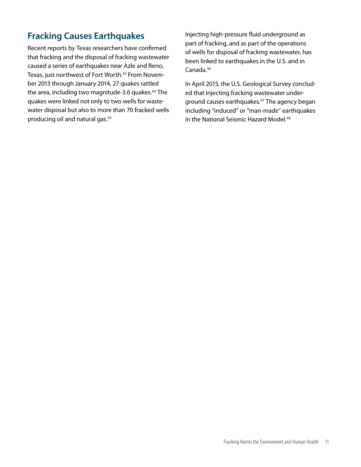## **Fracking Causes Earthquakes**

Recent reports by Texas researchers have confirmed that fracking and the disposal of fracking wastewater caused a series of earthquakes near Azle and Reno, Texas, just northwest of Fort Worth.<sup>43</sup> From November 2013 through January 2014, 27 quakes rattled the area, including two magnitude-3.6 quakes.<sup>44</sup> The quakes were linked not only to two wells for wastewater disposal but also to more than 70 fracked wells producing oil and natural gas.<sup>45</sup>

Injecting high-pressure fluid underground as part of fracking, and as part of the operations of wells for disposal of fracking wastewater, has been linked to earthquakes in the U.S. and in Canada.<sup>46</sup>

In April 2015, the U.S. Geological Survey concluded that injecting fracking wastewater underground causes earthquakes.<sup>47</sup> The agency began including "induced" or "man-made" earthquakes in the National Seismic Hazard Model.<sup>48</sup>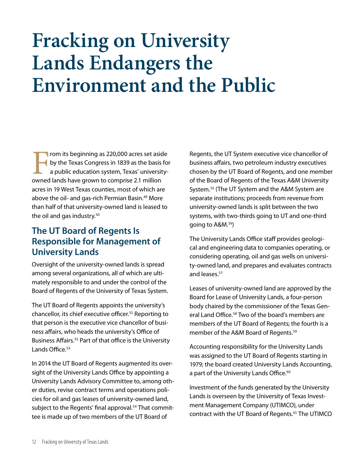## **Fracking on University Lands Endangers the Environment and the Public**

From its beginning as 220,000 acres set aside<br>by the Texas Congress in 1839 as the basis for<br>a public education system, Texas' university-<br>owned lands have grown to comprise 2.1 million by the Texas Congress in 1839 as the basis for a public education system, Texas' universityowned lands have grown to comprise 2.1 million acres in 19 West Texas counties, most of which are above the oil- and gas-rich Permian Basin.<sup>49</sup> More than half of that university-owned land is leased to the oil and gas industry.<sup>50</sup>

### **The UT Board of Regents Is Responsible for Management of University Lands**

Oversight of the university-owned lands is spread among several organizations, all of which are ultimately responsible to and under the control of the Board of Regents of the University of Texas System.

The UT Board of Regents appoints the university's chancellor, its chief executive officer.<sup>51</sup> Reporting to that person is the executive vice chancellor of business affairs, who heads the university's Office of Business Affairs.<sup>52</sup> Part of that office is the University Lands Office.<sup>53</sup>

In 2014 the UT Board of Regents augmented its oversight of the University Lands Office by appointing a University Lands Advisory Committee to, among other duties, revise contract terms and operations policies for oil and gas leases of university-owned land, subject to the Regents' final approval.<sup>54</sup> That committee is made up of two members of the UT Board of

Regents, the UT System executive vice chancellor of business affairs, two petroleum industry executives chosen by the UT Board of Regents, and one member of the Board of Regents of the Texas A&M University System.<sup>55</sup> (The UT System and the A&M System are separate institutions; proceeds from revenue from university-owned lands is split between the two systems, with two-thirds going to UT and one-third going to A&M.<sup>56</sup>)

The University Lands Office staff provides geological and engineering data to companies operating, or considering operating, oil and gas wells on university-owned land, and prepares and evaluates contracts and leases.<sup>57</sup>

Leases of university-owned land are approved by the Board for Lease of University Lands, a four-person body chaired by the commissioner of the Texas General Land Office.<sup>58</sup> Two of the board's members are members of the UT Board of Regents; the fourth is a member of the A&M Board of Regents.<sup>59</sup>

Accounting responsibility for the University Lands was assigned to the UT Board of Regents starting in 1979; the board created University Lands Accounting, a part of the University Lands Office.<sup>60</sup>

Investment of the funds generated by the University Lands is overseen by the University of Texas Investment Management Company (UTIMCO), under contract with the UT Board of Regents.<sup>61</sup> The UTIMCO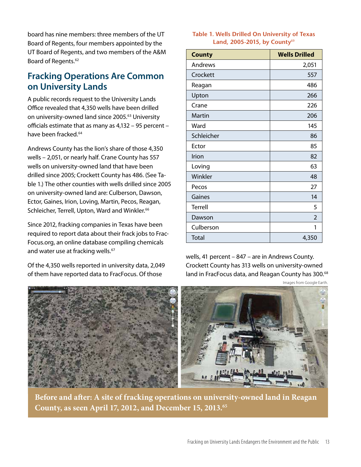board has nine members: three members of the UT Board of Regents, four members appointed by the UT Board of Regents, and two members of the A&M Board of Regents.<sup>62</sup>

### **Fracking Operations Are Common on University Lands**

A public records request to the University Lands Office revealed that 4,350 wells have been drilled on university-owned land since 2005.<sup>63</sup> University officials estimate that as many as 4,132 – 95 percent – have been fracked.<sup>64</sup>

Andrews County has the lion's share of those 4,350 wells – 2,051, or nearly half. Crane County has 557 wells on university-owned land that have been drilled since 2005; Crockett County has 486. (See Table 1.) The other counties with wells drilled since 2005 on university-owned land are: Culberson, Dawson, Ector, Gaines, Irion, Loving, Martin, Pecos, Reagan, Schleicher, Terrell, Upton, Ward and Winkler.<sup>66</sup>

Since 2012, fracking companies in Texas have been required to report data about their frack jobs to Frac-Focus.org, an online database compiling chemicals and water use at fracking wells.<sup>67</sup>

Of the 4,350 wells reported in university data, 2,049 of them have reported data to FracFocus. Of those

#### **Table 1. Wells Drilled On University of Texas Land, 2005-2015, by County**<sup>69</sup>

| <b>County</b> | <b>Wells Drilled</b> |
|---------------|----------------------|
| Andrews       | 2,051                |
| Crockett      | 557                  |
| Reagan        | 486                  |
| Upton         | 266                  |
| Crane         | 226                  |
| Martin        | 206                  |
| Ward          | 145                  |
| Schleicher    | 86                   |
| Ector         | 85                   |
| Irion         | 82                   |
| Loving        | 63                   |
| Winkler       | 48                   |
| Pecos         | 27                   |
| Gaines        | 14                   |
| Terrell       | 5                    |
| Dawson        | $\mathfrak{D}$       |
| Culberson     | 1                    |
| <b>Total</b>  | 4,350                |

wells, 41 percent – 847 – are in Andrews County. Crockett County has 313 wells on university-owned land in FracFocus data, and Reagan County has 300.<sup>68</sup>



**Before and after: A site of fracking operations on university-owned land in Reagan County, as seen April 17, 2012, and December 15, 2013.65**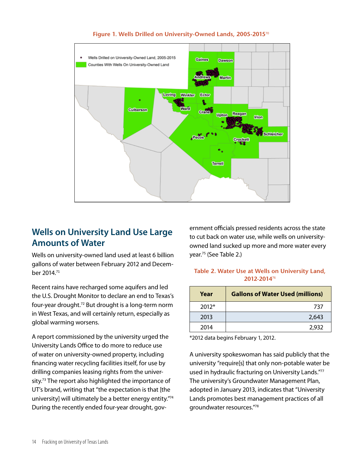

#### **Figure 1. Wells Drilled on University-Owned Lands, 2005-2015**<sup>70</sup>

#### **Wells on University Land Use Large Amounts of Water**

Wells on university-owned land used at least 6 billion gallons of water between February 2012 and December 2014.<sup>71</sup>

Recent rains have recharged some aquifers and led the U.S. Drought Monitor to declare an end to Texas's four-year drought.<sup>72</sup> But drought is a long-term norm in West Texas, and will certainly return, especially as global warming worsens.

A report commissioned by the university urged the University Lands Office to do more to reduce use of water on university-owned property, including financing water recycling facilities itself, for use by drilling companies leasing rights from the university.<sup>73</sup> The report also highlighted the importance of UT's brand, writing that "the expectation is that [the university] will ultimately be a better energy entity."<sup>74</sup> During the recently ended four-year drought, gov-

ernment officials pressed residents across the state to cut back on water use, while wells on universityowned land sucked up more and more water every year.<sup>75</sup> (See Table 2.)

#### **Table 2. Water Use at Wells on University Land, 2012-2014**<sup>76</sup>

| Year    | <b>Gallons of Water Used (millions)</b> |
|---------|-----------------------------------------|
| $2012*$ | 737                                     |
| 2013    | 2,643                                   |
| 2014    | 2,932                                   |

\*2012 data begins February 1, 2012.

A university spokeswoman has said publicly that the university "require[s] that only non-potable water be used in hydraulic fracturing on University Lands."<sup>77</sup> The university's Groundwater Management Plan, adopted in January 2013, indicates that "University Lands promotes best management practices of all groundwater resources."78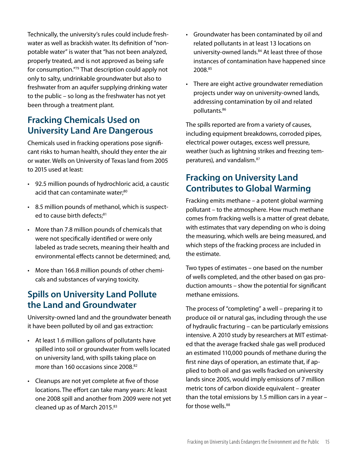Technically, the university's rules could include freshwater as well as brackish water. Its definition of "nonpotable water" is water that "has not been analyzed, properly treated, and is not approved as being safe for consumption."<sup>79</sup> That description could apply not only to salty, undrinkable groundwater but also to freshwater from an aquifer supplying drinking water to the public – so long as the freshwater has not yet been through a treatment plant.

### **Fracking Chemicals Used on University Land Are Dangerous**

Chemicals used in fracking operations pose significant risks to human health, should they enter the air or water. Wells on University of Texas land from 2005 to 2015 used at least:

- • 92.5 million pounds of hydrochloric acid, a caustic acid that can contaminate water;<sup>80</sup>
- • 8.5 million pounds of methanol, which is suspected to cause birth defects:<sup>81</sup>
- • More than 7.8 million pounds of chemicals that were not specifically identified or were only labeled as trade secrets, meaning their health and environmental effects cannot be determined; and,
- • More than 166.8 million pounds of other chemicals and substances of varying toxicity.

### **Spills on University Land Pollute the Land and Groundwater**

University-owned land and the groundwater beneath it have been polluted by oil and gas extraction:

- • At least 1.6 million gallons of pollutants have spilled into soil or groundwater from wells located on university land, with spills taking place on more than 160 occasions since 2008.<sup>82</sup>
- • Cleanups are not yet complete at five of those locations. The effort can take many years: At least one 2008 spill and another from 2009 were not yet cleaned up as of March 2015.<sup>83</sup>
- • Groundwater has been contaminated by oil and related pollutants in at least 13 locations on university-owned lands.<sup>84</sup> At least three of those instances of contamination have happened since 2008.85
- There are eight active groundwater remediation projects under way on university-owned lands, addressing contamination by oil and related pollutants.86

The spills reported are from a variety of causes, including equipment breakdowns, corroded pipes, electrical power outages, excess well pressure, weather (such as lightning strikes and freezing temperatures), and vandalism.<sup>87</sup>

#### **Fracking on University Land Contributes to Global Warming**

Fracking emits methane – a potent global warming pollutant – to the atmosphere. How much methane comes from fracking wells is a matter of great debate, with estimates that vary depending on who is doing the measuring, which wells are being measured, and which steps of the fracking process are included in the estimate.

Two types of estimates – one based on the number of wells completed, and the other based on gas production amounts – show the potential for significant methane emissions.

The process of "completing" a well – preparing it to produce oil or natural gas, including through the use of hydraulic fracturing – can be particularly emissions intensive. A 2010 study by researchers at MIT estimated that the average fracked shale gas well produced an estimated 110,000 pounds of methane during the first nine days of operation, an estimate that, if applied to both oil and gas wells fracked on university lands since 2005, would imply emissions of 7 million metric tons of carbon dioxide equivalent – greater than the total emissions by 1.5 million cars in a year – for those wells.<sup>88</sup>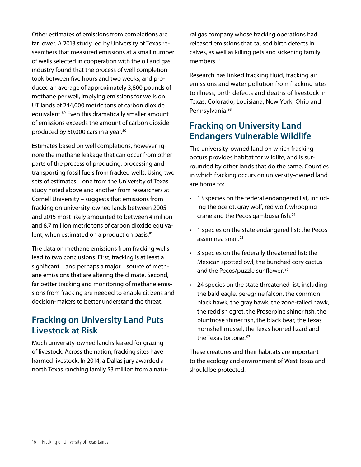Other estimates of emissions from completions are far lower. A 2013 study led by University of Texas researchers that measured emissions at a small number of wells selected in cooperation with the oil and gas industry found that the process of well completion took between five hours and two weeks, and produced an average of approximately 3,800 pounds of methane per well, implying emissions for wells on UT lands of 244,000 metric tons of carbon dioxide equivalent.<sup>89</sup> Even this dramatically smaller amount of emissions exceeds the amount of carbon dioxide produced by 50,000 cars in a year.<sup>90</sup>

Estimates based on well completions, however, ignore the methane leakage that can occur from other parts of the process of producing, processing and transporting fossil fuels from fracked wells. Using two sets of estimates – one from the University of Texas study noted above and another from researchers at Cornell University – suggests that emissions from fracking on university-owned lands between 2005 and 2015 most likely amounted to between 4 million and 8.7 million metric tons of carbon dioxide equivalent, when estimated on a production basis.<sup>91</sup>

The data on methane emissions from fracking wells lead to two conclusions. First, fracking is at least a significant – and perhaps a major – source of methane emissions that are altering the climate. Second, far better tracking and monitoring of methane emissions from fracking are needed to enable citizens and decision-makers to better understand the threat.

#### **Fracking on University Land Puts Livestock at Risk**

Much university-owned land is leased for grazing of livestock. Across the nation, fracking sites have harmed livestock. In 2014, a Dallas jury awarded a north Texas ranching family \$3 million from a natural gas company whose fracking operations had released emissions that caused birth defects in calves, as well as killing pets and sickening family members.<sup>92</sup>

Research has linked fracking fluid, fracking air emissions and water pollution from fracking sites to illness, birth defects and deaths of livestock in Texas, Colorado, Louisiana, New York, Ohio and Pennsylvania.<sup>93</sup>

### **Fracking on University Land Endangers Vulnerable Wildlife**

The university-owned land on which fracking occurs provides habitat for wildlife, and is surrounded by other lands that do the same. Counties in which fracking occurs on university-owned land are home to:

- 13 species on the federal endangered list, including the ocelot, gray wolf, red wolf, whooping crane and the Pecos gambusia fish.<sup>94</sup>
- • 1 species on the state endangered list: the Pecos assiminea snail. 95
- • 3 species on the federally threatened list: the Mexican spotted owl, the bunched cory cactus and the Pecos/puzzle sunflower.<sup>96</sup>
- • 24 species on the state threatened list, including the bald eagle, peregrine falcon, the common black hawk, the gray hawk, the zone-tailed hawk, the reddish egret, the Proserpine shiner fish, the bluntnose shiner fish, the black bear, the Texas hornshell mussel, the Texas horned lizard and the Texas tortoise. 97

These creatures and their habitats are important to the ecology and environment of West Texas and should be protected.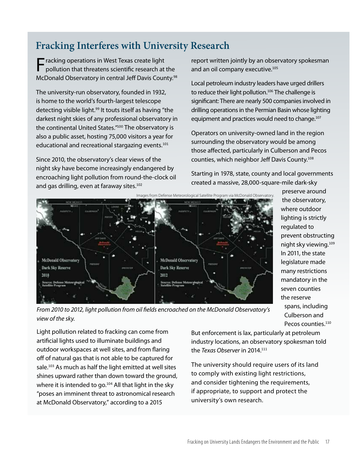## **Fracking Interferes with University Research**

**Fracking operations in West Texas create light**<br>pollution that threatens scientific research at the McDonald Observatory in central Jeff Davis County.<sup>98</sup>

The university-run observatory, founded in 1932, is home to the world's fourth-largest telescope detecting visible light.<sup>99</sup> It touts itself as having "the darkest night skies of any professional observatory in the continental United States."<sup>100</sup> The observatory is also a public asset, hosting 75,000 visitors a year for educational and recreational stargazing events.<sup>101</sup>

Since 2010, the observatory's clear views of the night sky have become increasingly endangered by encroaching light pollution from round-the-clock oil and gas drilling, even at faraway sites.<sup>102</sup>

report written jointly by an observatory spokesman and an oil company executive.<sup>105</sup>

Local petroleum industry leaders have urged drillers to reduce their light pollution.<sup>106</sup> The challenge is significant: There are nearly 500 companies involved in drilling operations in the Permian Basin whose lighting equipment and practices would need to change.<sup>107</sup>

Operators on university-owned land in the region surrounding the observatory would be among those affected, particularly in Culberson and Pecos counties, which neighbor Jeff Davis County.<sup>108</sup>

Starting in 1978, state, county and local governments created a massive, 28,000-square-mile dark-sky



preserve around the observatory, where outdoor lighting is strictly regulated to prevent obstructing night sky viewing.<sup>109</sup> In 2011, the state legislature made many restrictions mandatory in the seven counties the reserve spans, including Culberson and Pecos counties.<sup>110</sup>

*From 2010 to 2012, light pollution from oil fields encroached on the McDonald Observatory's view of the sky.*

Light pollution related to fracking can come from artificial lights used to illuminate buildings and outdoor workspaces at well sites, and from flaring off of natural gas that is not able to be captured for sale.<sup>103</sup> As much as half the light emitted at well sites shines upward rather than down toward the ground, where it is intended to go.<sup>104</sup> All that light in the sky "poses an imminent threat to astronomical research at McDonald Observatory," according to a 2015

But enforcement is lax, particularly at petroleum industry locations, an observatory spokesman told the *Texas Observer* in 2014.<sup>111</sup>

The university should require users of its land to comply with existing light restrictions, and consider tightening the requirements, if appropriate, to support and protect the university's own research.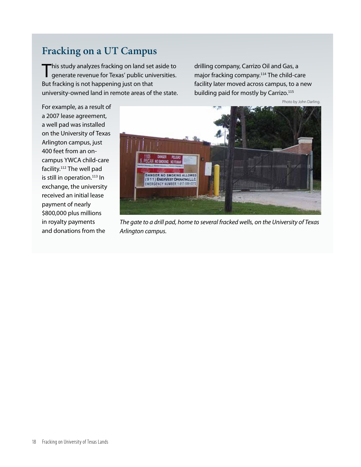## **Fracking on a UT Campus**

This study analyzes fracking on land set aside to generate revenue for Texas' public universities. But fracking is not happening just on that university-owned land in remote areas of the state.

drilling company, Carrizo Oil and Gas, a major fracking company.<sup>114</sup> The child-care facility later moved across campus, to a new building paid for mostly by Carrizo.<sup>115</sup>

Photo by John Darling.

For example, as a result of a 2007 lease agreement, a well pad was installed on the University of Texas Arlington campus, just 400 feet from an oncampus YWCA child-care facility.<sup>112</sup> The well pad is still in operation.<sup>113</sup> In exchange, the university received an initial lease payment of nearly \$800,000 plus millions in royalty payments and donations from the



*The gate to a drill pad, home to several fracked wells, on the University of Texas Arlington campus.*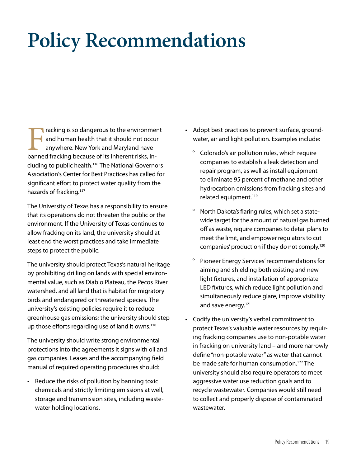# **Policy Recommendations**

Fracking is so dangerous to the environment<br>
and human health that it should not occur<br>
anywhere. New York and Maryland have<br>
banned fracking because of its inherent risks, inand human health that it should not occur anywhere. New York and Maryland have cluding to public health.<sup>116</sup> The National Governors Association's Center for Best Practices has called for significant effort to protect water quality from the hazards of fracking.<sup>117</sup>

The University of Texas has a responsibility to ensure that its operations do not threaten the public or the environment. If the University of Texas continues to allow fracking on its land, the university should at least end the worst practices and take immediate steps to protect the public.

The university should protect Texas's natural heritage by prohibiting drilling on lands with special environmental value, such as Diablo Plateau, the Pecos River watershed, and all land that is habitat for migratory birds and endangered or threatened species. The university's existing policies require it to reduce greenhouse gas emissions; the university should step up those efforts regarding use of land it owns.<sup>118</sup>

The university should write strong environmental protections into the agreements it signs with oil and gas companies. Leases and the accompanying field manual of required operating procedures should:

• Reduce the risks of pollution by banning toxic chemicals and strictly limiting emissions at well, storage and transmission sites, including wastewater holding locations.

- • Adopt best practices to prevent surface, groundwater, air and light pollution. Examples include:
	- Colorado's air pollution rules, which require companies to establish a leak detection and repair program, as well as install equipment to eliminate 95 percent of methane and other hydrocarbon emissions from fracking sites and related equipment.<sup>119</sup>
	- º North Dakota's flaring rules, which set a statewide target for the amount of natural gas burned off as waste, require companies to detail plans to meet the limit, and empower regulators to cut companies' production if they do not comply.120
	- º Pioneer Energy Services' recommendations for aiming and shielding both existing and new light fixtures, and installation of appropriate LED fixtures, which reduce light pollution and simultaneously reduce glare, improve visibility and save energy.<sup>121</sup>
- • Codify the university's verbal commitment to protect Texas's valuable water resources by requiring fracking companies use to non-potable water in fracking on university land – and more narrowly define "non-potable water" as water that cannot be made safe for human consumption.<sup>122</sup> The university should also require operators to meet aggressive water use reduction goals and to recycle wastewater. Companies would still need to collect and properly dispose of contaminated wastewater.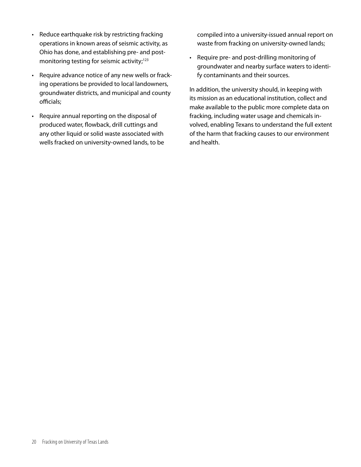- Reduce earthquake risk by restricting fracking operations in known areas of seismic activity, as Ohio has done, and establishing pre- and postmonitoring testing for seismic activity;<sup>123</sup>
- • Require advance notice of any new wells or fracking operations be provided to local landowners, groundwater districts, and municipal and county officials;
- • Require annual reporting on the disposal of produced water, flowback, drill cuttings and any other liquid or solid waste associated with wells fracked on university-owned lands, to be

compiled into a university-issued annual report on waste from fracking on university-owned lands;

• Require pre- and post-drilling monitoring of groundwater and nearby surface waters to identify contaminants and their sources.

In addition, the university should, in keeping with its mission as an educational institution, collect and make available to the public more complete data on fracking, including water usage and chemicals involved, enabling Texans to understand the full extent of the harm that fracking causes to our environment and health.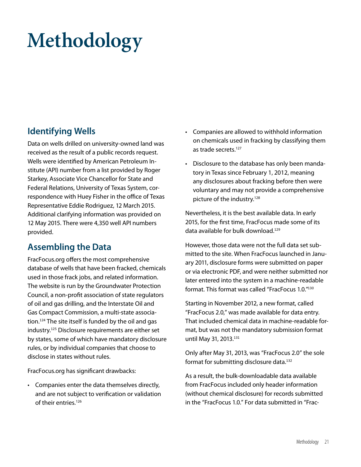# **Methodology**

### **Identifying Wells**

Data on wells drilled on university-owned land was received as the result of a public records request. Wells were identified by American Petroleum Institute (API) number from a list provided by Roger Starkey, Associate Vice Chancellor for State and Federal Relations, University of Texas System, correspondence with Huey Fisher in the office of Texas Representative Eddie Rodriguez, 12 March 2015. Additional clarifying information was provided on 12 May 2015. There were 4,350 well API numbers provided.

### **Assembling the Data**

FracFocus.org offers the most comprehensive database of wells that have been fracked, chemicals used in those frack jobs, and related information. The website is run by the Groundwater Protection Council, a non-profit association of state regulators of oil and gas drilling, and the Interstate Oil and Gas Compact Commission, a multi-state association.<sup>124</sup> The site itself is funded by the oil and gas industry.<sup>125</sup> Disclosure requirements are either set by states, some of which have mandatory disclosure rules, or by individual companies that choose to disclose in states without rules.

FracFocus.org has significant drawbacks:

• Companies enter the data themselves directly, and are not subject to verification or validation of their entries.<sup>126</sup>

- • Companies are allowed to withhold information on chemicals used in fracking by classifying them as trade secrets.<sup>127</sup>
- Disclosure to the database has only been mandatory in Texas since February 1, 2012, meaning any disclosures about fracking before then were voluntary and may not provide a comprehensive picture of the industry.128

Nevertheless, it is the best available data. In early 2015, for the first time, FracFocus made some of its data available for bulk download.<sup>129</sup>

However, those data were not the full data set submitted to the site. When FracFocus launched in January 2011, disclosure forms were submitted on paper or via electronic PDF, and were neither submitted nor later entered into the system in a machine-readable format. This format was called "FracFocus 1.0."<sup>130</sup>

Starting in November 2012, a new format, called "FracFocus 2.0," was made available for data entry. That included chemical data in machine-readable format, but was not the mandatory submission format until May 31, 2013.<sup>131</sup>

Only after May 31, 2013, was "FracFocus 2.0" the sole format for submitting disclosure data.<sup>132</sup>

As a result, the bulk-downloadable data available from FracFocus included only header information (without chemical disclosure) for records submitted in the "FracFocus 1.0." For data submitted in "Frac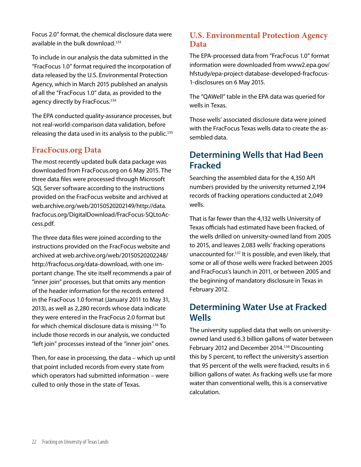Focus 2.0" format, the chemical disclosure data were available in the bulk download.<sup>133</sup>

To include in our analysis the data submitted in the "FracFocus 1.0" format required the incorporation of data released by the U.S. Environmental Protection Agency, which in March 2015 published an analysis of all the "FracFocus 1.0" data, as provided to the agency directly by FracFocus.<sup>134</sup>

The EPA conducted quality-assurance processes, but not real-world-comparison data validation, before releasing the data used in its analysis to the public.<sup>135</sup>

#### **FracFocus.org Data**

The most recently updated bulk data package was downloaded from FracFocus.org on 6 May 2015. The three data files were processed through Microsoft SQL Server software according to the instructions provided on the FracFocus website and archived at web.archive.org/web/20150520202149/http://data. fracfocus.org/DigitalDownload/FracFocus-SQLtoAccess.pdf.

The three data files were joined according to the instructions provided on the FracFocus website and archived at web.archive.org/web/20150520202248/ http://fracfocus.org/data-download, with one important change. The site itself recommends a pair of "inner join" processes, but that omits any mention of the header information for the records entered in the FracFocus 1.0 format (January 2011 to May 31, 2013), as well as 2,280 records whose data indicate they were entered in the FracFocus 2.0 format but for which chemical disclosure data is missing.<sup>136</sup> To include those records in our analysis, we conducted "left join" processes instead of the "inner join" ones.

Then, for ease in processing, the data – which up until that point included records from every state from which operators had submitted information – were culled to only those in the state of Texas.

#### **U.S. Environmental Protection Agency Data**

The EPA-processed data from "FracFocus 1.0" format information were downloaded from www2.epa.gov/ hfstudy/epa-project-database-developed-fracfocus-1-disclosures on 6 May 2015.

The "QAWell" table in the EPA data was queried for wells in Texas.

Those wells' associated disclosure data were joined with the FracFocus Texas wells data to create the assembled data.

#### **Determining Wells that Had Been Fracked**

Searching the assembled data for the 4,350 API numbers provided by the university returned 2,194 records of fracking operations conducted at 2,049 wells.

That is far fewer than the 4,132 wells University of Texas officials had estimated have been fracked, of the wells drilled on university-owned land from 2005 to 2015, and leaves 2,083 wells' fracking operations unaccounted for.<sup>137</sup> It is possible, and even likely, that some or all of those wells were fracked between 2005 and FracFocus's launch in 2011, or between 2005 and the beginning of mandatory disclosure in Texas in February 2012.

### **Determining Water Use at Fracked Wells**

The university supplied data that wells on universityowned land used 6.3 billion gallons of water between February 2012 and December 2014.<sup>138</sup> Discounting this by 5 percent, to reflect the university's assertion that 95 percent of the wells were fracked, results in 6 billion gallons of water. As fracking wells use far more water than conventional wells, this is a conservative calculation.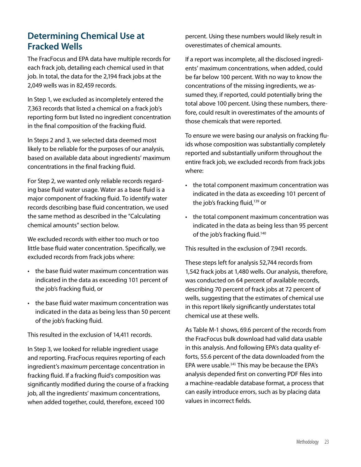### **Determining Chemical Use at Fracked Wells**

The FracFocus and EPA data have multiple records for each frack job, detailing each chemical used in that job. In total, the data for the 2,194 frack jobs at the 2,049 wells was in 82,459 records.

In Step 1, we excluded as incompletely entered the 7,363 records that listed a chemical on a frack job's reporting form but listed no ingredient concentration in the final composition of the fracking fluid.

In Steps 2 and 3, we selected data deemed most likely to be reliable for the purposes of our analysis, based on available data about ingredients' maximum concentrations in the final fracking fluid.

For Step 2, we wanted only reliable records regarding base fluid water usage. Water as a base fluid is a major component of fracking fluid. To identify water records describing base fluid concentration, we used the same method as described in the "Calculating chemical amounts" section below.

We excluded records with either too much or too little base fluid water concentration. Specifically, we excluded records from frack jobs where:

- the base fluid water maximum concentration was indicated in the data as exceeding 101 percent of the job's fracking fluid, or
- the base fluid water maximum concentration was indicated in the data as being less than 50 percent of the job's fracking fluid.

This resulted in the exclusion of 14,411 records.

In Step 3, we looked for reliable ingredient usage and reporting. FracFocus requires reporting of each ingredient's *maximum* percentage concentration in fracking fluid. If a fracking fluid's composition was significantly modified during the course of a fracking job, all the ingredients' maximum concentrations, when added together, could, therefore, exceed 100

percent. Using these numbers would likely result in overestimates of chemical amounts.

If a report was incomplete, all the disclosed ingredients' maximum concentrations, when added, could be far below 100 percent. With no way to know the concentrations of the missing ingredients, we assumed they, if reported, could potentially bring the total above 100 percent. Using these numbers, therefore, could result in overestimates of the amounts of those chemicals that were reported.

To ensure we were basing our analysis on fracking fluids whose composition was substantially completely reported and substantially uniform throughout the entire frack job, we excluded records from frack jobs where:

- the total component maximum concentration was indicated in the data as exceeding 101 percent of the job's fracking fluid,<sup>139</sup> or
- the total component maximum concentration was indicated in the data as being less than 95 percent of the job's fracking fluid.<sup>140</sup>

This resulted in the exclusion of 7,941 records.

These steps left for analysis 52,744 records from 1,542 frack jobs at 1,480 wells. Our analysis, therefore, was conducted on 64 percent of available records, describing 70 percent of frack jobs at 72 percent of wells, suggesting that the estimates of chemical use in this report likely significantly understates total chemical use at these wells.

As Table M-1 shows, 69.6 percent of the records from the FracFocus bulk download had valid data usable in this analysis. And following EPA's data quality efforts, 55.6 percent of the data downloaded from the EPA were usable.<sup>141</sup> This may be because the EPA's analysis depended first on converting PDF files into a machine-readable database format, a process that can easily introduce errors, such as by placing data values in incorrect fields.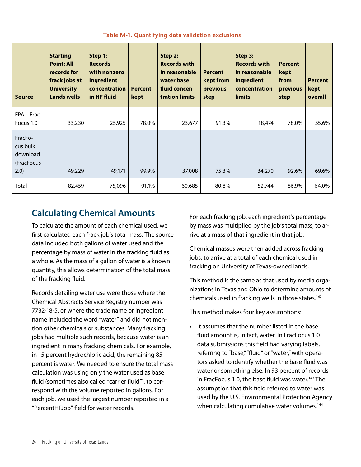| <b>Source</b>                                         | <b>Starting</b><br><b>Point: All</b><br>records for<br>frack jobs at<br><b>University</b><br><b>Lands wells</b> | Step 1:<br><b>Records</b><br>with nonzero<br>ingredient<br>concentration<br>in HF fluid | <b>Percent</b><br>kept | Step 2:<br><b>Records with-</b><br>in reasonable<br>water base<br>fluid concen-<br>tration limits | <b>Percent</b><br>kept from<br>previous<br>step | Step 3:<br><b>Records with-</b><br>in reasonable<br>ingredient<br>concentration<br>limits | <b>Percent</b><br>kept<br>from<br>previous<br>step | <b>Percent</b><br>kept<br>overall |
|-------------------------------------------------------|-----------------------------------------------------------------------------------------------------------------|-----------------------------------------------------------------------------------------|------------------------|---------------------------------------------------------------------------------------------------|-------------------------------------------------|-------------------------------------------------------------------------------------------|----------------------------------------------------|-----------------------------------|
| EPA - Frac-<br>Focus 1.0                              | 33,230                                                                                                          | 25,925                                                                                  | 78.0%                  | 23,677                                                                                            | 91.3%                                           | 18,474                                                                                    | 78.0%                                              | 55.6%                             |
| FracFo-<br>cus bulk<br>download<br>(FracFocus<br>2.0) | 49,229                                                                                                          | 49,171                                                                                  | 99.9%                  | 37,008                                                                                            | 75.3%                                           | 34,270                                                                                    | 92.6%                                              | 69.6%                             |
| Total                                                 | 82,459                                                                                                          | 75,096                                                                                  | 91.1%                  | 60,685                                                                                            | 80.8%                                           | 52,744                                                                                    | 86.9%                                              | 64.0%                             |

#### **Table M-1. Quantifying data validation exclusions**

### **Calculating Chemical Amounts**

To calculate the amount of each chemical used, we first calculated each frack job's total mass. The source data included both gallons of water used and the percentage by mass of water in the fracking fluid as a whole. As the mass of a gallon of water is a known quantity, this allows determination of the total mass of the fracking fluid.

Records detailing water use were those where the Chemical Abstracts Service Registry number was 7732-18-5, or where the trade name or ingredient name included the word "water" and did not mention other chemicals or substances. Many fracking jobs had multiple such records, because water is an ingredient in many fracking chemicals. For example, in 15 percent hydrochloric acid, the remaining 85 percent is water. We needed to ensure the total mass calculation was using only the water used as base fluid (sometimes also called "carrier fluid"), to correspond with the volume reported in gallons. For each job, we used the largest number reported in a "PercentHFJob" field for water records.

For each fracking job, each ingredient's percentage by mass was multiplied by the job's total mass, to arrive at a mass of that ingredient in that job.

Chemical masses were then added across fracking jobs, to arrive at a total of each chemical used in fracking on University of Texas-owned lands.

This method is the same as that used by media organizations in Texas and Ohio to determine amounts of chemicals used in fracking wells in those states.<sup>142</sup>

This method makes four key assumptions:

• It assumes that the number listed in the base fluid amount is, in fact, water. In FracFocus 1.0 data submissions this field had varying labels, referring to "base," "fluid" or "water," with operators asked to identify whether the base fluid was water or something else. In 93 percent of records in FracFocus 1.0, the base fluid was water.<sup>143</sup> The assumption that this field referred to water was used by the U.S. Environmental Protection Agency when calculating cumulative water volumes.<sup>144</sup>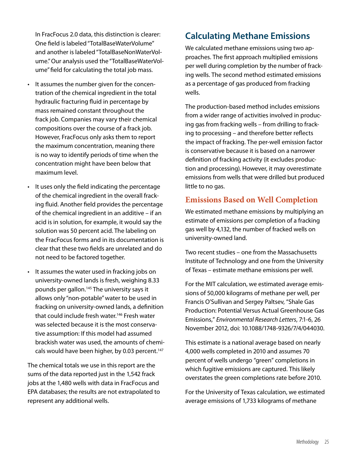In FracFocus 2.0 data, this distinction is clearer: One field is labeled "TotalBaseWaterVolume" and another is labeled "TotalBaseNonWaterVolume." Our analysis used the "TotalBaseWaterVolume" field for calculating the total job mass.

- • It assumes the number given for the concentration of the chemical ingredient in the total hydraulic fracturing fluid in percentage by mass remained constant throughout the frack job. Companies may vary their chemical compositions over the course of a frack job. However, FracFocus only asks them to report the maximum concentration, meaning there is no way to identify periods of time when the concentration might have been below that maximum level.
- • It uses only the field indicating the percentage of the chemical ingredient in the overall fracking fluid. Another field provides the percentage of the chemical ingredient in an additive – if an acid is in solution, for example, it would say the solution was 50 percent acid. The labeling on the FracFocus forms and in its documentation is clear that these two fields are unrelated and do not need to be factored together.
- • It assumes the water used in fracking jobs on university-owned lands is fresh, weighing 8.33 pounds per gallon.145 The university says it allows only "non-potable" water to be used in fracking on university-owned lands, a definition that could include fresh water.<sup>146</sup> Fresh water was selected because it is the most conservative assumption: If this model had assumed brackish water was used, the amounts of chemicals would have been higher, by 0.03 percent.<sup>147</sup>

The chemical totals we use in this report are the sums of the data reported just in the 1,542 frack jobs at the 1,480 wells with data in FracFocus and EPA databases; the results are not extrapolated to represent any additional wells.

### **Calculating Methane Emissions**

We calculated methane emissions using two approaches. The first approach multiplied emissions per well during completion by the number of fracking wells. The second method estimated emissions as a percentage of gas produced from fracking wells.

The production-based method includes emissions from a wider range of activities involved in producing gas from fracking wells – from drilling to fracking to processing – and therefore better reflects the impact of fracking. The per-well emission factor is conservative because it is based on a narrower definition of fracking activity (it excludes production and processing). However, it may overestimate emissions from wells that were drilled but produced little to no gas.

#### **Emissions Based on Well Completion**

We estimated methane emissions by multiplying an estimate of emissions per completion of a fracking gas well by 4,132, the number of fracked wells on university-owned land.

Two recent studies – one from the Massachusetts Institute of Technology and one from the University of Texas – estimate methane emissions per well.

For the MIT calculation, we estimated average emissions of 50,000 kilograms of methane per well, per Francis O'Sullivan and Sergey Paltsev, "Shale Gas Production: Potential Versus Actual Greenhouse Gas Emissions," *Environmental Research Letters*, 7:1-6, 26 November 2012, doi: 10.1088/1748-9326/7/4/044030.

This estimate is a national average based on nearly 4,000 wells completed in 2010 and assumes 70 percent of wells undergo "green" completions in which fugitive emissions are captured. This likely overstates the green completions rate before 2010.

For the University of Texas calculation, we estimated average emissions of 1,733 kilograms of methane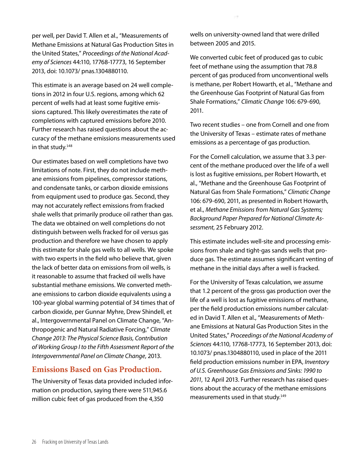per well, per David T. Allen et al., "Measurements of Methane Emissions at Natural Gas Production Sites in the United States," *Proceedings of the National Academy of Sciences* 44:110, 17768-17773, 16 September 2013, doi: 10.1073/ pnas.1304880110.

This estimate is an average based on 24 well completions in 2012 in four U.S. regions, among which 62 percent of wells had at least some fugitive emissions captured. This likely overestimates the rate of completions with captured emissions before 2010. Further research has raised questions about the accuracy of the methane emissions measurements used in that study.<sup>148</sup>

Our estimates based on well completions have two limitations of note. First, they do not include methane emissions from pipelines, compressor stations, and condensate tanks, or carbon dioxide emissions from equipment used to produce gas. Second, they may not accurately reflect emissions from fracked shale wells that primarily produce oil rather than gas. The data we obtained on well completions do not distinguish between wells fracked for oil versus gas production and therefore we have chosen to apply this estimate for shale gas wells to all wells. We spoke with two experts in the field who believe that, given the lack of better data on emissions from oil wells, is it reasonable to assume that fracked oil wells have substantial methane emissions. We converted methane emissions to carbon dioxide equivalents using a 100-year global warming potential of 34 times that of carbon dioxide, per Gunnar Myhre, Drew Shindell, et al., Intergovernmental Panel on Climate Change, "Anthropogenic and Natural Radiative Forcing," *Climate Change 2013: The Physical Science Basis, Contribution of Working Group I to the Fifth Assessment Report of the Intergovernmental Panel on Climate Change*, 2013.

#### **Emissions Based on Gas Production.**

The University of Texas data provided included information on production, saying there were 511,945.6 million cubic feet of gas produced from the 4,350

wells on university-owned land that were drilled between 2005 and 2015.

We converted cubic feet of produced gas to cubic feet of methane using the assumption that 78.8 percent of gas produced from unconventional wells is methane, per Robert Howarth, et al., "Methane and the Greenhouse Gas Footprint of Natural Gas from Shale Formations," *Climatic Change* 106: 679-690, 2011.

Two recent studies – one from Cornell and one from the University of Texas – estimate rates of methane emissions as a percentage of gas production.

For the Cornell calculation, we assume that 3.3 percent of the methane produced over the life of a well is lost as fugitive emissions, per Robert Howarth, et al., "Methane and the Greenhouse Gas Footprint of Natural Gas from Shale Formations," *Climatic Change* 106: 679-690, 2011, as presented in Robert Howarth, et al., *Methane Emissions from Natural Gas Systems; Background Paper Prepared for National Climate Assessment*, 25 February 2012.

This estimate includes well-site and processing emissions from shale and tight-gas sands wells that produce gas. The estimate assumes significant venting of methane in the initial days after a well is fracked.

For the University of Texas calculation, we assume that 1.2 percent of the gross gas production over the life of a well is lost as fugitive emissions of methane, per the field production emissions number calculated in David T. Allen et al., "Measurements of Methane Emissions at Natural Gas Production Sites in the United States," *Proceedings of the National Academy of Sciences* 44:110, 17768-17773, 16 September 2013, doi: 10.1073/ pnas.1304880110, used in place of the 2011 field production emissions number in EPA, *Inventory of U.S. Greenhouse Gas Emissions and Sinks: 1990 to 2011*, 12 April 2013. Further research has raised questions about the accuracy of the methane emissions measurements used in that study.<sup>149</sup>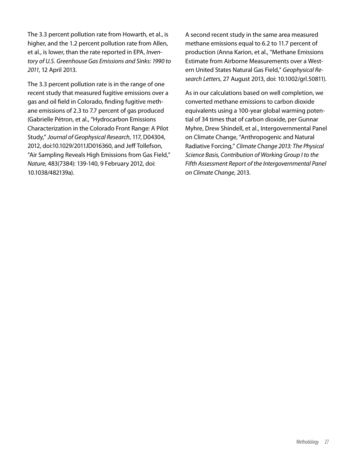The 3.3 percent pollution rate from Howarth, et al., is higher, and the 1.2 percent pollution rate from Allen, et al., is lower, than the rate reported in EPA, *Inventory of U.S. Greenhouse Gas Emissions and Sinks: 1990 to 2011*, 12 April 2013.

The 3.3 percent pollution rate is in the range of one recent study that measured fugitive emissions over a gas and oil field in Colorado, finding fugitive methane emissions of 2.3 to 7.7 percent of gas produced (Gabrielle Pétron, et al., "Hydrocarbon Emissions Characterization in the Colorado Front Range: A Pilot Study," *Journal of Geophysical Research*, 117, D04304, 2012, doi:10.1029/2011JD016360, and Jeff Tollefson, "Air Sampling Reveals High Emissions from Gas Field," *Nature*, 483(7384): 139-140, 9 February 2012, doi: 10.1038/482139a).

A second recent study in the same area measured methane emissions equal to 6.2 to 11.7 percent of production (Anna Karion, et al., "Methane Emissions Estimate from Airborne Measurements over a Western United States Natural Gas Field," *Geophysical Research Letters*, 27 August 2013, doi: 10.1002/grl.50811).

As in our calculations based on well completion, we converted methane emissions to carbon dioxide equivalents using a 100-year global warming potential of 34 times that of carbon dioxide, per Gunnar Myhre, Drew Shindell, et al., Intergovernmental Panel on Climate Change, "Anthropogenic and Natural Radiative Forcing," *Climate Change 2013: The Physical Science Basis, Contribution of Working Group I to the Fifth Assessment Report of the Intergovernmental Panel on Climate Change*, 2013.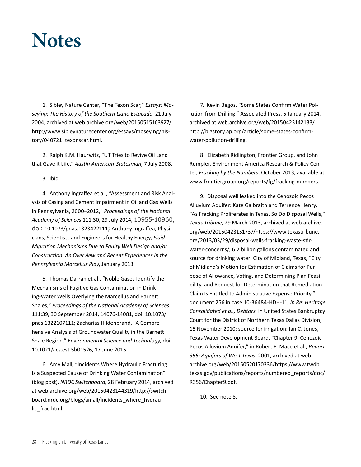## **Notes**

1. Sibley Nature Center, "The Texon Scar," *Essays: Moseying: The History of the Southern Llano Estacado*, 21 July 2004, archived at web.archive.org/web/20150515163927/ http://www.sibleynaturecenter.org/essays/moseying/history/040721\_texonscar.html.

2. Ralph K.M. Haurwitz, "UT Tries to Revive Oil Land that Gave it Life," *Austin American-Statesman*, 7 July 2008.

3. Ibid.

4. Anthony Ingraffea et al., "Assessment and Risk Analysis of Casing and Cement Impairment in Oil and Gas Wells in Pennsylvania, 2000–2012," *Proceedings of the National Academy of Sciences* 111:30, 29 July 2014, 10955-10960, doi: 10.1073/pnas.1323422111; Anthony Ingraffea, Physicians, Scientists and Engineers for Healthy Energy, *Fluid Migration Mechanisms Due to Faulty Well Design and/or Construction: An Overview and Recent Experiences in the Pennsylvania Marcellus Play*, January 2013.

5. Thomas Darrah et al., "Noble Gases Identify the Mechanisms of Fugitive Gas Contamination in Drinking-Water Wells Overlying the Marcellus and Barnett Shales," *Proceedings of the National Academy of Sciences* 111:39, 30 September 2014, 14076-14081, doi: 10.1073/ pnas.1322107111; Zacharias Hildenbrand, "A Comprehensive Analysis of Groundwater Quality in the Barnett Shale Region," *Environmental Science and Technology*, doi: 10.1021/acs.est.5b01526, 17 June 2015.

6. Amy Mall, "Incidents Where Hydraulic Fracturing Is a Suspected Cause of Drinking Water Contamination" (blog post), *NRDC Switchboard*, 28 February 2014, archived at web.archive.org/web/20150423144319/http://switchboard.nrdc.org/blogs/amall/incidents\_where\_hydraulic\_frac.html.

7. Kevin Begos, "Some States Confirm Water Pollution from Drilling," Associated Press, 5 January 2014, archived at web.archive.org/web/20150423142133/ http://bigstory.ap.org/article/some-states-confirmwater-pollution-drilling.

8. Elizabeth Ridlington, Frontier Group, and John Rumpler, Environment America Research & Policy Center, *Fracking by the Numbers*, October 2013, available at www.frontiergroup.org/reports/fg/fracking-numbers.

9. Disposal well leaked into the Cenozoic Pecos Alluvium Aquifer: Kate Galbraith and Terrence Henry, "As Fracking Proliferates in Texas, So Do Disposal Wells," *Texas Tribune*, 29 March 2013, archived at web.archive. org/web/20150423151737/https://www.texastribune. org/2013/03/29/disposal-wells-fracking-waste-stirwater-concerns/; 6.2 billion gallons contaminated and source for drinking water: City of Midland, Texas, "City of Midland's Motion for Estimation of Claims for Purpose of Allowance, Voting, and Determining Plan Feasibility, and Request for Determination that Remediation Claim Is Entitled to Administrative Expense Priority," document 256 in case 10-36484-HDH-11, *In Re: Heritage Consolidated et al., Debtors*, in United States Bankruptcy Court for the District of Northern Texas Dallas Division, 15 November 2010; source for irrigation: Ian C. Jones, Texas Water Development Board, "Chapter 9: Cenozoic Pecos Alluvium Aquifer," in Robert E. Mace et al., *Report 356: Aquifers of West Texas*, 2001, archived at web. archive.org/web/20150520170336/https://www.twdb. texas.gov/publications/reports/numbered\_reports/doc/ R356/Chapter9.pdf.

10. See note 8.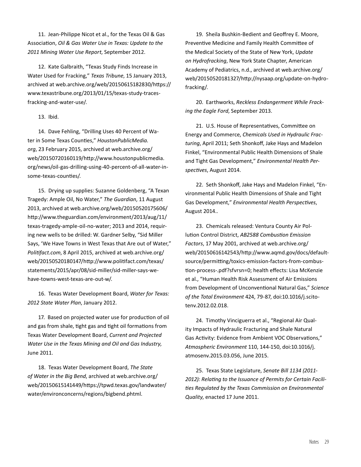11. Jean-Philippe Nicot et al., for the Texas Oil & Gas Association, *Oil & Gas Water Use in Texas: Update to the 2011 Mining Water Use Report*, September 2012.

12. Kate Galbraith, "Texas Study Finds Increase in Water Used for Fracking," *Texas Tribune*, 15 January 2013, archived at web.archive.org/web/20150615182830/https:// www.texastribune.org/2013/01/15/texas-study-tracesfracking-and-water-use/.

#### 13. Ibid.

14. Dave Fehling, "Drilling Uses 40 Percent of Water in Some Texas Counties," *HoustonPublicMedia. org*, 23 February 2015, archived at web.archive.org/ web/20150720160119/http://www.houstonpublicmedia. org/news/oil-gas-drilling-using-40-percent-of-all-water-insome-texas-counties/.

15. Drying up supplies: Suzanne Goldenberg, "A Texan Tragedy: Ample Oil, No Water," *The Guardian*, 11 August 2013, archived at web.archive.org/web/20150520175606/ http://www.theguardian.com/environment/2013/aug/11/ texas-tragedy-ample-oil-no-water; 2013 and 2014, requiring new wells to be drilled: W. Gardner Selby, "Sid Miller Says, 'We Have Towns in West Texas that Are out of Water," *Politifact.com*, 8 April 2015, archived at web.archive.org/ web/20150520180147/http://www.politifact.com/texas/ statements/2015/apr/08/sid-miller/sid-miller-says-wehave-towns-west-texas-are-out-w/.

16. Texas Water Development Board, *Water for Texas: 2012 State Water Plan*, January 2012.

17. Based on projected water use for production of oil and gas from shale, tight gas and tight oil formations from Texas Water Development Board, *Current and Projected Water Use in the Texas Mining and Oil and Gas Industry*, June 2011.

18. Texas Water Development Board, *The State of Water in the Big Bend*, archived at web.archive.org/ web/20150615141449/https://tpwd.texas.gov/landwater/ water/environconcerns/regions/bigbend.phtml.

19. Sheila Bushkin-Bedient and Geoffrey E. Moore, Preventive Medicine and Family Health Committee of the Medical Society of the State of New York, *Update on Hydrofracking*, New York State Chapter, American Academy of Pediatrics, n.d., archived at web.archive.org/ web/20150520181327/http://nysaap.org/update-on-hydrofracking/.

20. Earthworks, *Reckless Endangerment While Fracking the Eagle Ford*, September 2013.

21. U.S. House of Representatives, Committee on Energy and Commerce, *Chemicals Used in Hydraulic Fracturing*, April 2011; Seth Shonkoff, Jake Hays and Madelon Finkel, "Environmental Public Health Dimensions of Shale and Tight Gas Development," *Environmental Health Perspectives*, August 2014.

22. Seth Shonkoff, Jake Hays and Madelon Finkel, "Environmental Public Health Dimensions of Shale and Tight Gas Development," *Environmental Health Perspectives*, August 2014..

23. Chemicals released: Ventura County Air Pollution Control District, *AB2588 Combustion Emission Factors*, 17 May 2001, archived at web.archive.org/ web/20150616142543/http://www.aqmd.gov/docs/defaultsource/permitting/toxics-emission-factors-from-combustion-process-.pdf?sfvrsn=0; health effects: Lisa McKenzie et al., "Human Health Risk Assessment of Air Emissions from Development of Unconventional Natural Gas," *Science of the Total Environment* 424, 79-87, doi:10.1016/j.scitotenv.2012.02.018.

24. Timothy Vinciguerra et al., "Regional Air Quality Impacts of Hydraulic Fracturing and Shale Natural Gas Activity: Evidence from Ambient VOC Observations," *Atmospheric Environment* 110, 144-150, doi:10.1016/j. atmosenv.2015.03.056, June 2015.

25. Texas State Legislature, *Senate Bill 1134 (2011- 2012): Relating to the Issuance of Permits for Certain Facilities Regulated by the Texas Commission on Environmental Quality*, enacted 17 June 2011.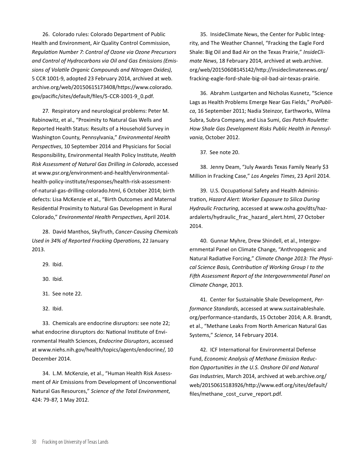26. Colorado rules: Colorado Department of Public Health and Environment, Air Quality Control Commission, *Regulation Number 7: Control of Ozone via Ozone Precursors and Control of Hydrocarbons via Oil and Gas Emissions (Emissions of Volatile Organic Compounds and Nitrogen Oxides)*, 5 CCR 1001-9, adopted 23 February 2014, archived at web. archive.org/web/20150615173408/https://www.colorado. gov/pacific/sites/default/files/5-CCR-1001-9\_0.pdf.

27. Respiratory and neurological problems: Peter M. Rabinowitz, et al., "Proximity to Natural Gas Wells and Reported Health Status: Results of a Household Survey in Washington County, Pennsylvania," *Environmental Health Perspectives*, 10 September 2014 and Physicians for Social Responsibility, Environmental Health Policy Institute, *Health Risk Assessment of Natural Gas Drilling in Colorado*, accessed at www.psr.org/environment-and-health/environmentalhealth-policy-institute/responses/health-risk-assessmentof-natural-gas-drilling-colorado.html, 6 October 2014; birth defects: Lisa McKenzie et al., "Birth Outcomes and Maternal Residential Proximity to Natural Gas Development in Rural Colorado," *Environmental Health Perspectives*, April 2014.

28. David Manthos, SkyTruth, *Cancer-Causing Chemicals Used in 34% of Reported Fracking Operations*, 22 January 2013.

29. Ibid.

30. Ibid.

31. See note 22.

32. Ibid.

33. Chemicals are endocrine disruptors: see note 22; what endocrine disruptors do: National Institute of Environmental Health Sciences, *Endocrine Disruptors*, accessed at www.niehs.nih.gov/health/topics/agents/endocrine/, 10 December 2014.

34. L.M. McKenzie, et al., "Human Health Risk Assessment of Air Emissions from Development of Unconventional Natural Gas Resources," *Science of the Total Environment*, 424: 79-87, 1 May 2012.

35. InsideClimate News, the Center for Public Integrity, and The Weather Channel, "Fracking the Eagle Ford Shale: Big Oil and Bad Air on the Texas Prairie," *InsideClimate News*, 18 February 2014, archived at web.archive. org/web/20150608145142/http://insideclimatenews.org/ fracking-eagle-ford-shale-big-oil-bad-air-texas-prairie.

36. Abrahm Lustgarten and Nicholas Kusnetz, "Science Lags as Health Problems Emerge Near Gas Fields," *ProPublica*, 16 September 2011; Nadia Steinzor, Earthworks, Wilma Subra, Subra Company, and Lisa Sumi, *Gas Patch Roulette: How Shale Gas Development Risks Public Health in Pennsylvania*, October 2012.

37. See note 20.

38. Jenny Deam, "July Awards Texas Family Nearly \$3 Million in Fracking Case," *Los Angeles Times*, 23 April 2014.

39. U.S. Occupational Safety and Health Administration, *Hazard Alert: Worker Exposure to Silica During Hydraulic Fracturing*, accessed at www.osha.gov/dts/hazardalerts/hydraulic\_frac\_hazard\_alert.html, 27 October 2014.

40. Gunnar Myhre, Drew Shindell, et al., Intergovernmental Panel on Climate Change, "Anthropogenic and Natural Radiative Forcing," *Climate Change 2013: The Physical Science Basis, Contribution of Working Group I to the Fifth Assessment Report of the Intergovernmental Panel on Climate Change*, 2013.

41. Center for Sustainable Shale Development, *Performance Standards*, accessed at www.sustainableshale. org/performance-standards, 15 October 2014; A.R. Brandt, et al., "Methane Leaks From North American Natural Gas Systems," *Science*, 14 February 2014.

42. ICF International for Environmental Defense Fund, *Economic Analysis of Methane Emission Reduction Opportunities in the U.S. Onshore Oil and Natural Gas Industries*, March 2014, archived at web.archive.org/ web/20150615183926/http://www.edf.org/sites/default/ files/methane\_cost\_curve\_report.pdf.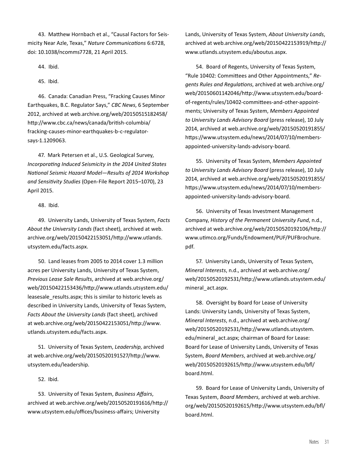43. Matthew Hornbach et al., "Causal Factors for Seismicity Near Azle, Texas," *Nature Communications* 6:6728, doi: 10.1038/ncomms7728, 21 April 2015.

44. Ibid.

45. Ibid.

46. Canada: Canadian Press, "Fracking Causes Minor Earthquakes, B.C. Regulator Says," *CBC News*, 6 September 2012, archived at web.archive.org/web/20150515182458/ http://www.cbc.ca/news/canada/british-columbia/ fracking-causes-minor-earthquakes-b-c-regulatorsays-1.1209063.

47. Mark Petersen et al., U.S. Geological Survey, *Incorporating Induced Seismicity in the 2014 United States National Seismic Hazard Model—Results of 2014 Workshop and Sensitivity Studies* (Open-File Report 2015–1070), 23 April 2015.

48. Ibid.

49. University Lands, University of Texas System, *Facts About the University Lands* (fact sheet), archived at web. archive.org/web/20150422153051/http://www.utlands. utsystem.edu/facts.aspx.

50. Land leases from 2005 to 2014 cover 1.3 million acres per University Lands, University of Texas System, *Previous Lease Sale Results*, archived at web.archive.org/ web/20150422153436/http://www.utlands.utsystem.edu/ leasesale results.aspx; this is similar to historic levels as described in University Lands, University of Texas System, *Facts About the University Lands* (fact sheet), archived at web.archive.org/web/20150422153051/http://www. utlands.utsystem.edu/facts.aspx.

51. University of Texas System, *Leadership*, archived at web.archive.org/web/20150520191527/http://www. utsystem.edu/leadership.

#### 52. Ibid.

53. University of Texas System, *Business Affairs*, archived at web.archive.org/web/20150520191616/http:// www.utsystem.edu/offices/business-affairs; University

Lands, University of Texas System, *About University Lands*, archived at web.archive.org/web/20150422153919/http:// www.utlands.utsystem.edu/aboutus.aspx.

54. Board of Regents, University of Texas System, "Rule 10402: Committees and Other Appointments," *Regents Rules and Regulations*, archived at web.archive.org/ web/20150601142046/http://www.utsystem.edu/boardof-regents/rules/10402-committees-and-other-appointments; University of Texas System, *Members Appointed to University Lands Advisory Board* (press release), 10 July 2014, archived at web.archive.org/web/20150520191855/ https://www.utsystem.edu/news/2014/07/10/membersappointed-university-lands-advisory-board.

55. University of Texas System, *Members Appointed to University Lands Advisory Board* (press release), 10 July 2014, archived at web.archive.org/web/20150520191855/ https://www.utsystem.edu/news/2014/07/10/membersappointed-university-lands-advisory-board.

56. University of Texas Investment Management Company, *History of the Permanent University Fund*, n.d., archived at web.archive.org/web/20150520192106/http:// www.utimco.org/Funds/Endowment/PUF/PUFBrochure. pdf.

57. University Lands, University of Texas System, *Mineral Interests*, n.d., archived at web.archive.org/ web/20150520192531/http://www.utlands.utsystem.edu/ mineral\_act.aspx.

58. Oversight by Board for Lease of University Lands: University Lands, University of Texas System, *Mineral Interests*, n.d., archived at web.archive.org/ web/20150520192531/http://www.utlands.utsystem. edu/mineral\_act.aspx; chairman of Board for Lease: Board for Lease of University Lands, University of Texas System, *Board Members*, archived at web.archive.org/ web/20150520192615/http://www.utsystem.edu/bfl/ board.html.

59. Board for Lease of University Lands, University of Texas System, *Board Members*, archived at web.archive. org/web/20150520192615/http://www.utsystem.edu/bfl/ board.html.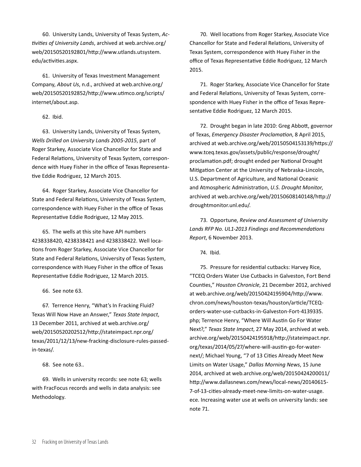60. University Lands, University of Texas System, *Activities of University Lands*, archived at web.archive.org/ web/20150520192801/http://www.utlands.utsystem. edu/activities.aspx.

61. University of Texas Investment Management Company, *About Us*, n.d., archived at web.archive.org/ web/20150520192852/http://www.utimco.org/scripts/ internet/about.asp.

62. Ibid.

63. University Lands, University of Texas System, *Wells Drilled on University Lands 2005-2015*, part of Roger Starkey, Associate Vice Chancellor for State and Federal Relations, University of Texas System, correspondence with Huey Fisher in the office of Texas Representative Eddie Rodriguez, 12 March 2015.

64. Roger Starkey, Associate Vice Chancellor for State and Federal Relations, University of Texas System, correspondence with Huey Fisher in the office of Texas Representative Eddie Rodriguez, 12 May 2015.

65. The wells at this site have API numbers 4238338420, 4238338421 and 4238338422. Well locations from Roger Starkey, Associate Vice Chancellor for State and Federal Relations, University of Texas System, correspondence with Huey Fisher in the office of Texas Representative Eddie Rodriguez, 12 March 2015.

66. See note 63.

67. Terrence Henry, "What's In Fracking Fluid? Texas Will Now Have an Answer," *Texas State Impact*, 13 December 2011, archived at web.archive.org/ web/20150520202512/http://stateimpact.npr.org/ texas/2011/12/13/new-fracking-disclosure-rules-passedin-texas/.

68. See note 63..

69. Wells in university records: see note 63; wells with FracFocus records and wells in data analysis: see Methodology.

70. Well locations from Roger Starkey, Associate Vice Chancellor for State and Federal Relations, University of Texas System, correspondence with Huey Fisher in the office of Texas Representative Eddie Rodriguez, 12 March 2015.

71. Roger Starkey, Associate Vice Chancellor for State and Federal Relations, University of Texas System, correspondence with Huey Fisher in the office of Texas Representative Eddie Rodriguez, 12 March 2015.

72. Drought began in late 2010: Greg Abbott, governor of Texas, *Emergency Disaster Proclamation*, 8 April 2015, archived at web.archive.org/web/20150504153139/https:// www.tceq.texas.gov/assets/public/response/drought/ proclamation.pdf; drought ended per National Drought Mitigation Center at the University of Nebraska-Lincoln, U.S. Department of Agriculture, and National Oceanic and Atmospheric Administration, *U.S. Drought Monitor*, archived at web.archive.org/web/20150608140148/http:// droughtmonitor.unl.edu/.

73. Opportune, *Review and Assessment of University Lands RFP No. UL1‐2013 Findings and Recommendations Report*, 6 November 2013.

74. Ibid.

75. Pressure for residential cutbacks: Harvey Rice, "TCEQ Orders Water Use Cutbacks in Galveston, Fort Bend Counties," *Houston Chronicle*, 21 December 2012, archived at web.archive.org/web/20150424195904/http://www. chron.com/news/houston-texas/houston/article/TCEQorders-water-use-cutbacks-in-Galveston-Fort-4139335. php; Terrence Henry, "Where Will Austin Go For Water Next?," *Texas State Impact*, 27 May 2014, archived at web. archive.org/web/20150424195918/http://stateimpact.npr. org/texas/2014/05/27/where-will-austin-go-for-waternext/; Michael Young, "7 of 13 Cities Already Meet New Limits on Water Usage," *Dallas Morning News*, 15 June 2014, archived at web.archive.org/web/20150424200011/ http://www.dallasnews.com/news/local-news/20140615- 7-of-13-cities-already-meet-new-limits-on-water-usage. ece. Increasing water use at wells on university lands: see note 71.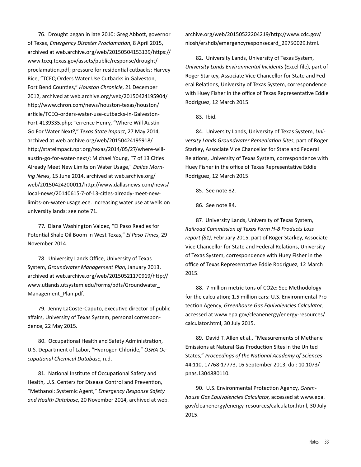76. Drought began in late 2010: Greg Abbott, governor of Texas, *Emergency Disaster Proclamation*, 8 April 2015, archived at web.archive.org/web/20150504153139/https:// www.tceq.texas.gov/assets/public/response/drought/ proclamation.pdf; pressure for residential cutbacks: Harvey Rice, "TCEQ Orders Water Use Cutbacks in Galveston, Fort Bend Counties," *Houston Chronicle*, 21 December 2012, archived at web.archive.org/web/20150424195904/ http://www.chron.com/news/houston-texas/houston/ article/TCEQ-orders-water-use-cutbacks-in-Galveston-Fort-4139335.php; Terrence Henry, "Where Will Austin Go For Water Next?," *Texas State Impact*, 27 May 2014, archived at web.archive.org/web/20150424195918/ http://stateimpact.npr.org/texas/2014/05/27/where-willaustin-go-for-water-next/; Michael Young, "7 of 13 Cities Already Meet New Limits on Water Usage," *Dallas Morning News*, 15 June 2014, archived at web.archive.org/ web/20150424200011/http://www.dallasnews.com/news/ local-news/20140615-7-of-13-cities-already-meet-newlimits-on-water-usage.ece. Increasing water use at wells on university lands: see note 71.

77. Diana Washington Valdez, "El Paso Readies for Potential Shale Oil Boom in West Texas," *El Paso Times*, 29 November 2014.

78. University Lands Office, University of Texas System, *Groundwater Management Plan*, January 2013, archived at web.archive.org/web/20150521170919/http:// www.utlands.utsystem.edu/forms/pdfs/Groundwater\_ Management\_Plan.pdf.

79. Jenny LaCoste-Caputo, executive director of public affairs, University of Texas System, personal correspondence, 22 May 2015.

80. Occupational Health and Safety Administration, U.S. Department of Labor, "Hydrogen Chloride," *OSHA Occupational Chemical Database*, n.d.

81. National Institute of Occupational Safety and Health, U.S. Centers for Disease Control and Prevention, "Methanol: Systemic Agent," *Emergency Response Safety and Health Database*, 20 November 2014, archived at web. archive.org/web/20150522204219/http://www.cdc.gov/ niosh/ershdb/emergencyresponsecard\_29750029.html.

82. University Lands, University of Texas System, *University Lands Environmental Incidents* (Excel file), part of Roger Starkey, Associate Vice Chancellor for State and Federal Relations, University of Texas System, correspondence with Huey Fisher in the office of Texas Representative Eddie Rodriguez, 12 March 2015.

83. Ibid.

84. University Lands, University of Texas System, *University Lands Groundwater Remediation Sites*, part of Roger Starkey, Associate Vice Chancellor for State and Federal Relations, University of Texas System, correspondence with Huey Fisher in the office of Texas Representative Eddie Rodriguez, 12 March 2015.

85. See note 82.

86. See note 84.

87. University Lands, University of Texas System, *Railroad Commission of Texas Form H-8 Products Loss report (81)*, February 2015, part of Roger Starkey, Associate Vice Chancellor for State and Federal Relations, University of Texas System, correspondence with Huey Fisher in the office of Texas Representative Eddie Rodriguez, 12 March 2015.

88. 7 million metric tons of CO2e: See Methodology for the calculation; 1.5 million cars: U.S. Environmental Protection Agency, *Greenhouse Gas Equivalencies Calculator*, accessed at www.epa.gov/cleanenergy/energy-resources/ calculator.html, 30 July 2015.

89. David T. Allen et al., "Measurements of Methane Emissions at Natural Gas Production Sites in the United States," *Proceedings of the National Academy of Sciences* 44:110, 17768-17773, 16 September 2013, doi: 10.1073/ pnas.1304880110.

90. U.S. Environmental Protection Agency, *Greenhouse Gas Equivalencies Calculator*, accessed at www.epa. gov/cleanenergy/energy-resources/calculator.html, 30 July 2015.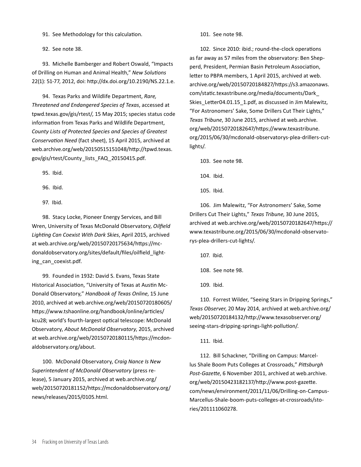91. See Methodology for this calculation.

92. See note 38.

93. Michelle Bamberger and Robert Oswald, "Impacts of Drilling on Human and Animal Health," *New Solutions* 22(1): 51-77, 2012, doi: http://dx.doi.org/10.2190/NS.22.1.e.

94. Texas Parks and Wildlife Department, *Rare, Threatened and Endangered Species of Texas*, accessed at tpwd.texas.gov/gis/rtest/, 15 May 2015; species status code information from Texas Parks and Wildlife Department, *County Lists of Protected Species and Species of Greatest Conservation Need* (fact sheet), 15 April 2015, archived at web.archive.org/web/20150515151048/http://tpwd.texas. gov/gis/rtest/County\_lists\_FAQ\_20150415.pdf.

95. Ibid.

96. Ibid.

97. Ibid.

98. Stacy Locke, Pioneer Energy Services, and Bill Wren, University of Texas McDonald Observatory, *Oilfield Lighting Can Coexist With Dark Skies*, April 2015, archived at web.archive.org/web/20150720175634/https://mcdonaldobservatory.org/sites/default/files/oilfield\_lighting\_can\_coexist.pdf.

99. Founded in 1932: David S. Evans, Texas State Historical Association, "University of Texas at Austin Mc-Donald Observatory," *Handbook of Texas Online*, 15 June 2010, archived at web.archive.org/web/20150720180605/ https://www.tshaonline.org/handbook/online/articles/ kcu28; world's fourth-largest optical telescope: McDonald Observatory, *About McDonald Observatory*, 2015, archived at web.archive.org/web/20150720180115/https://mcdonaldobservatory.org/about.

100. McDonald Observatory, *Craig Nance Is New Superintendent of McDonald Observatory* (press release), 5 January 2015, archived at web.archive.org/ web/20150720181152/https://mcdonaldobservatory.org/ news/releases/2015/0105.html.

101. See note 98.

102. Since 2010: ibid.; round-the-clock operations as far away as 57 miles from the observatory: Ben Shepperd, President, Permian Basin Petroleum Association, letter to PBPA members, 1 April 2015, archived at web. archive.org/web/20150720184827/https://s3.amazonaws. com/static.texastribune.org/media/documents/Dark\_ Skies\_Letter04.01.15\_1.pdf, as discussed in Jim Malewitz, "For Astronomers' Sake, Some Drillers Cut Their Lights," *Texas Tribune*, 30 June 2015, archived at web.archive. org/web/20150720182647/https://www.texastribune. org/2015/06/30/mcdonald-observatorys-plea-drillers-cutlights/.

103. See note 98.

104. Ibid.

105. Ibid.

106. Jim Malewitz, "For Astronomers' Sake, Some Drillers Cut Their Lights," *Texas Tribune*, 30 June 2015, archived at web.archive.org/web/20150720182647/https:// www.texastribune.org/2015/06/30/mcdonald-observatorys-plea-drillers-cut-lights/.

107. Ibid.

108. See note 98.

109. Ibid.

110. Forrest Wilder, "Seeing Stars in Dripping Springs," *Texas Observer*, 20 May 2014, archived at web.archive.org/ web/20150720184132/http://www.texasobserver.org/ seeing-stars-dripping-springs-light-pollution/.

111. Ibid.

112. Bill Schackner, "Drilling on Campus: Marcellus Shale Boom Puts Colleges at Crossroads," *Pittsburgh Post-Gazette*, 6 November 2011, archived at web.archive. org/web/20150423182137/http://www.post-gazette. com/news/environment/2011/11/06/Drilling-on-Campus-Marcellus-Shale-boom-puts-colleges-at-crossroads/stories/201111060278.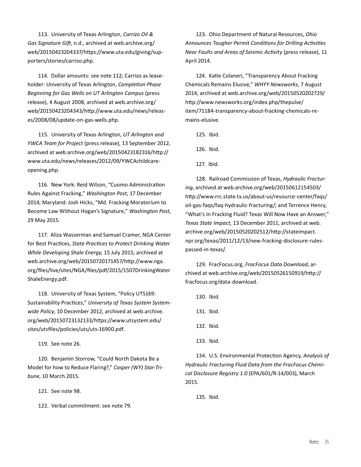113. University of Texas Arlington, *Carrizo Oil & Gas Signature Gift*, n.d., archived at web.archive.org/ web/20150423204337/https://www.uta.edu/giving/supporters/stories/carrizo.php.

114. Dollar amounts: see note 112; Carrizo as leaseholder: University of Texas Arlington, *Completion Phase Beginning for Gas Wells on UT Arlington Campus* (press release), 4 August 2008, archived at web.archive.org/ web/20150423204343/http://www.uta.edu/news/releases/2008/08/update-on-gas-wells.php.

115. University of Texas Arlington, *UT Arlington and YWCA Team for Project* (press release), 13 September 2012, archived at web.archive.org/web/20150423182316/http:// www.uta.edu/news/releases/2012/09/YWCAchildcareopening.php.

116. New York: Reid Wilson, "Cuomo Administration Rules Against Fracking," *Washington Post*, 17 December 2014; Maryland: Josh Hicks, "Md. Fracking Moratorium to Become Law Without Hogan's Signature," *Washington Post*, 29 May 2015.

117. Aliza Wasserman and Samuel Cramer, NGA Center for Best Practices, *State Practices to Protect Drinking Water While Developing Shale Energy*, 15 July 2015, archived at web.archive.org/web/20150720171457/http://www.nga. org/files/live/sites/NGA/files/pdf/2015/1507DrinkingWater ShaleEnergy.pdf.

118. University of Texas System, "Policy UTS169: Sustainability Practices," *University of Texas System Systemwide Policy*, 10 December 2012, archived at web.archive. org/web/20150723132133/https://www.utsystem.edu/ sites/utsfiles/policies/uts/uts-16900.pdf.

119. See note 26.

120. Benjamin Storrow, "Could North Dakota Be a Model for how to Reduce Flaring?," *Casper (WY) Star-Tribune*, 10 March 2015.

121. See note 98.

122. Verbal commitment: see note 79.

123. Ohio Department of Natural Resources, *Ohio Announces Tougher Permit Conditions for Drilling Activities Near Faults and Areas of Seismic Activity* (press release), 11 April 2014.

124. Katie Colaneri, "Transparency About Fracking Chemicals Remains Elusive," *WHYY Newsworks*, 7 August 2014, archived at web.archive.org/web/20150520202729/ http://www.newsworks.org/index.php/thepulse/ item/71184-transparency-about-fracking-chemicals-remains-elusive.

125. Ibid.

126. Ibid.

127. Ibid.

128. Railroad Commission of Texas, *Hydraulic Fracturing*, archived at web.archive.org/web/20150612154503/ http://www.rrc.state.tx.us/about-us/resource-center/faqs/ oil-gas-faqs/faq-hydraulic-fracturing/; and Terrence Henry, "What's In Fracking Fluid? Texas Will Now Have an Answer," *Texas State Impact*, 13 December 2011, archived at web. archive.org/web/20150520202512/http://stateimpact. npr.org/texas/2011/12/13/new-fracking-disclosure-rulespassed-in-texas/.

129. FracFocus.org, *FracFocus Data Download*, archived at web.archive.org/web/20150526150919/http:// fracfocus.org/data-download.

130. Ibid.

- 131. Ibid.
- 132. Ibid.
- 133. Ibid.

134. U.S. Environmental Protection Agency, *Analysis of Hydraulic Fracturing Fluid Data from the FracFocus Chemical Disclosure Registry 1.0* (EPA/601/R-14/003), March 2015.

135. Ibid.